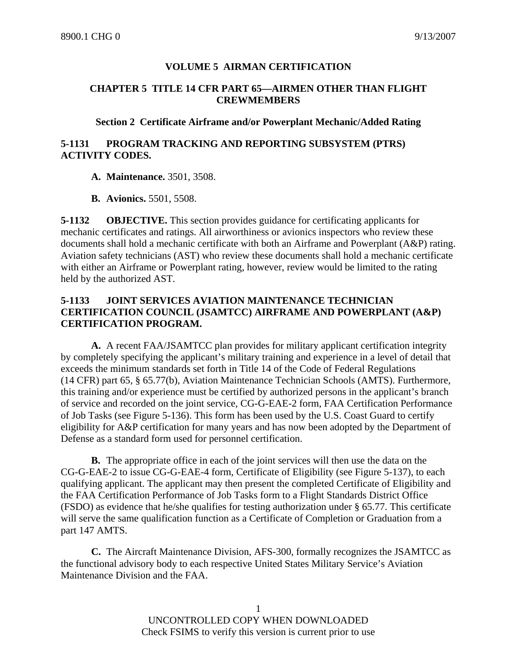# **VOLUME 5 AIRMAN CERTIFICATION**

## **CHAPTER 5 TITLE 14 CFR PART 65—AIRMEN OTHER THAN FLIGHT CREWMEMBERS**

## **Section 2 Certificate Airframe and/or Powerplant Mechanic/Added Rating**

# **5-1131 PROGRAM TRACKING AND REPORTING SUBSYSTEM (PTRS) ACTIVITY CODES.**

**A. Maintenance.** 3501, 3508.

**B. Avionics.** 5501, 5508.

**5-1132 OBJECTIVE.** This section provides guidance for certificating applicants for mechanic certificates and ratings. All airworthiness or avionics inspectors who review these documents shall hold a mechanic certificate with both an Airframe and Powerplant (A&P) rating. Aviation safety technicians (AST) who review these documents shall hold a mechanic certificate with either an Airframe or Powerplant rating, however, review would be limited to the rating held by the authorized AST.

# **5-1133 JOINT SERVICES AVIATION MAINTENANCE TECHNICIAN CERTIFICATION COUNCIL (JSAMTCC) AIRFRAME AND POWERPLANT (A&P) CERTIFICATION PROGRAM.**

**A.** A recent FAA/JSAMTCC plan provides for military applicant certification integrity by completely specifying the applicant's military training and experience in a level of detail that exceeds the minimum standards set forth in Title 14 of the Code of Federal Regulations (14 CFR) part 65, § 65.77(b), Aviation Maintenance Technician Schools (AMTS). Furthermore, this training and/or experience must be certified by authorized persons in the applicant's branch of service and recorded on the joint service, CG-G-EAE-2 form, FAA Certification Performance of Job Tasks (see Figure 5-136). This form has been used by the U.S. Coast Guard to certify eligibility for A&P certification for many years and has now been adopted by the Department of Defense as a standard form used for personnel certification.

**B.** The appropriate office in each of the joint services will then use the data on the CG-G-EAE-2 to issue CG-G-EAE-4 form, Certificate of Eligibility (see Figure 5-137), to each qualifying applicant. The applicant may then present the completed Certificate of Eligibility and the FAA Certification Performance of Job Tasks form to a Flight Standards District Office (FSDO) as evidence that he/she qualifies for testing authorization under § 65.77. This certificate will serve the same qualification function as a Certificate of Completion or Graduation from a part 147 AMTS.

**C.** The Aircraft Maintenance Division, AFS-300, formally recognizes the JSAMTCC as the functional advisory body to each respective United States Military Service's Aviation Maintenance Division and the FAA.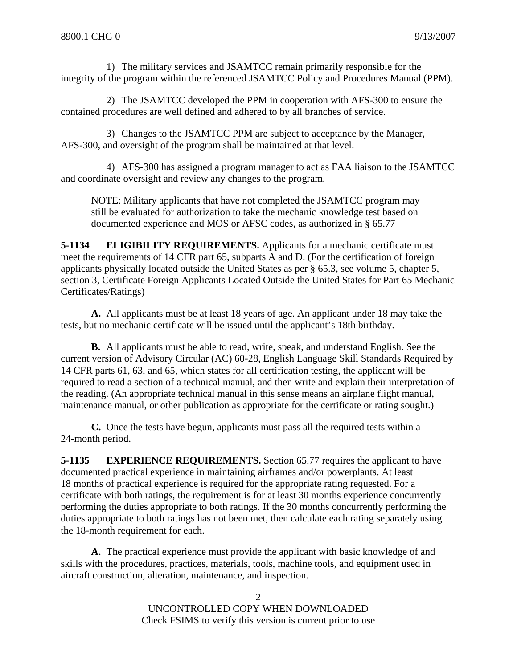1) The military services and JSAMTCC remain primarily responsible for the integrity of the program within the referenced JSAMTCC Policy and Procedures Manual (PPM).

2) The JSAMTCC developed the PPM in cooperation with AFS-300 to ensure the contained procedures are well defined and adhered to by all branches of service.

3) Changes to the JSAMTCC PPM are subject to acceptance by the Manager, AFS-300, and oversight of the program shall be maintained at that level.

4) AFS-300 has assigned a program manager to act as FAA liaison to the JSAMTCC and coordinate oversight and review any changes to the program.

NOTE: Military applicants that have not completed the JSAMTCC program may still be evaluated for authorization to take the mechanic knowledge test based on documented experience and MOS or AFSC codes, as authorized in § 65.77

**5-1134 ELIGIBILITY REQUIREMENTS.** Applicants for a mechanic certificate must meet the requirements of 14 CFR part 65, subparts A and D. (For the certification of foreign applicants physically located outside the United States as per § 65.3, see volume 5, chapter 5, section 3, Certificate Foreign Applicants Located Outside the United States for Part 65 Mechanic Certificates/Ratings)

**A.** All applicants must be at least 18 years of age. An applicant under 18 may take the tests, but no mechanic certificate will be issued until the applicant's 18th birthday.

**B.** All applicants must be able to read, write, speak, and understand English. See the current version of Advisory Circular (AC) 60-28, English Language Skill Standards Required by 14 CFR parts 61, 63, and 65, which states for all certification testing, the applicant will be required to read a section of a technical manual, and then write and explain their interpretation of the reading. (An appropriate technical manual in this sense means an airplane flight manual, maintenance manual, or other publication as appropriate for the certificate or rating sought.)

**C.** Once the tests have begun, applicants must pass all the required tests within a 24-month period.

**5-1135 EXPERIENCE REQUIREMENTS.** Section 65.77 requires the applicant to have documented practical experience in maintaining airframes and/or powerplants. At least 18 months of practical experience is required for the appropriate rating requested. For a certificate with both ratings, the requirement is for at least 30 months experience concurrently performing the duties appropriate to both ratings. If the 30 months concurrently performing the duties appropriate to both ratings has not been met, then calculate each rating separately using the 18-month requirement for each.

**A.** The practical experience must provide the applicant with basic knowledge of and skills with the procedures, practices, materials, tools, machine tools, and equipment used in aircraft construction, alteration, maintenance, and inspection.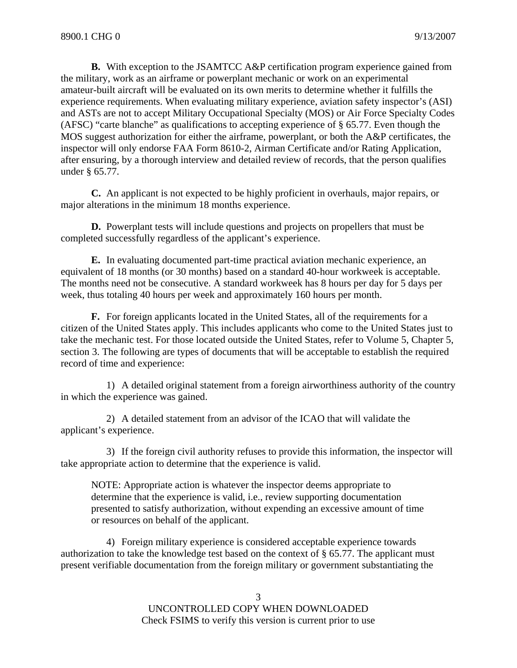**B.** With exception to the JSAMTCC A&P certification program experience gained from the military, work as an airframe or powerplant mechanic or work on an experimental amateur-built aircraft will be evaluated on its own merits to determine whether it fulfills the experience requirements. When evaluating military experience, aviation safety inspector's (ASI) and ASTs are not to accept Military Occupational Specialty (MOS) or Air Force Specialty Codes (AFSC) "carte blanche" as qualifications to accepting experience of § 65.77. Even though the MOS suggest authorization for either the airframe, powerplant, or both the A&P certificates, the inspector will only endorse FAA Form 8610-2, Airman Certificate and/or Rating Application, after ensuring, by a thorough interview and detailed review of records, that the person qualifies under § 65.77.

**C.** An applicant is not expected to be highly proficient in overhauls, major repairs, or major alterations in the minimum 18 months experience.

**D.** Powerplant tests will include questions and projects on propellers that must be completed successfully regardless of the applicant's experience.

**E.** In evaluating documented part-time practical aviation mechanic experience, an equivalent of 18 months (or 30 months) based on a standard 40-hour workweek is acceptable. The months need not be consecutive. A standard workweek has 8 hours per day for 5 days per week, thus totaling 40 hours per week and approximately 160 hours per month.

**F.** For foreign applicants located in the United States, all of the requirements for a citizen of the United States apply. This includes applicants who come to the United States just to take the mechanic test. For those located outside the United States, refer to Volume 5, Chapter 5, section 3. The following are types of documents that will be acceptable to establish the required record of time and experience:

1) A detailed original statement from a foreign airworthiness authority of the country in which the experience was gained.

2) A detailed statement from an advisor of the ICAO that will validate the applicant's experience.

3) If the foreign civil authority refuses to provide this information, the inspector will take appropriate action to determine that the experience is valid.

NOTE: Appropriate action is whatever the inspector deems appropriate to determine that the experience is valid, i.e., review supporting documentation presented to satisfy authorization, without expending an excessive amount of time or resources on behalf of the applicant.

4) Foreign military experience is considered acceptable experience towards authorization to take the knowledge test based on the context of § 65.77. The applicant must present verifiable documentation from the foreign military or government substantiating the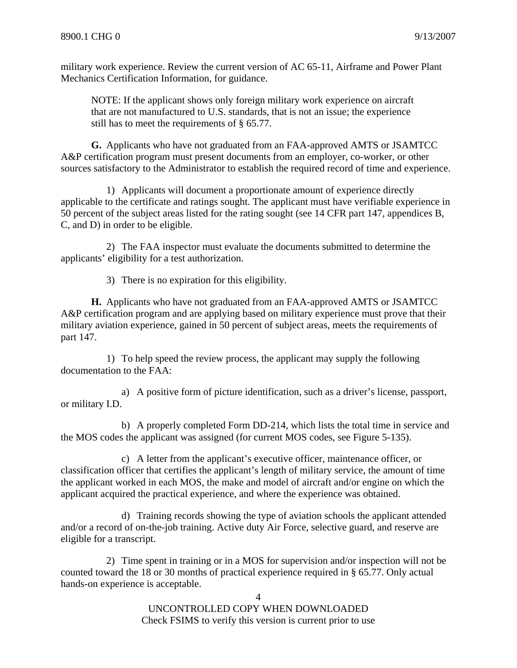military work experience. Review the current version of AC 65-11, Airframe and Power Plant Mechanics Certification Information, for guidance.

NOTE: If the applicant shows only foreign military work experience on aircraft that are not manufactured to U.S. standards, that is not an issue; the experience still has to meet the requirements of § 65.77.

**G.** Applicants who have not graduated from an FAA-approved AMTS or JSAMTCC A&P certification program must present documents from an employer, co-worker, or other sources satisfactory to the Administrator to establish the required record of time and experience.

1) Applicants will document a proportionate amount of experience directly applicable to the certificate and ratings sought. The applicant must have verifiable experience in 50 percent of the subject areas listed for the rating sought (see 14 CFR part 147, appendices B, C, and D) in order to be eligible.

2) The FAA inspector must evaluate the documents submitted to determine the applicants' eligibility for a test authorization.

3) There is no expiration for this eligibility.

**H.** Applicants who have not graduated from an FAA-approved AMTS or JSAMTCC A&P certification program and are applying based on military experience must prove that their military aviation experience, gained in 50 percent of subject areas, meets the requirements of part 147.

1) To help speed the review process, the applicant may supply the following documentation to the FAA:

a) A positive form of picture identification, such as a driver's license, passport, or military I.D.

b) A properly completed Form DD-214, which lists the total time in service and the MOS codes the applicant was assigned (for current MOS codes, see Figure 5-135).

c) A letter from the applicant's executive officer, maintenance officer, or classification officer that certifies the applicant's length of military service, the amount of time the applicant worked in each MOS, the make and model of aircraft and/or engine on which the applicant acquired the practical experience, and where the experience was obtained.

d) Training records showing the type of aviation schools the applicant attended and/or a record of on-the-job training. Active duty Air Force, selective guard, and reserve are eligible for a transcript.

2) Time spent in training or in a MOS for supervision and/or inspection will not be counted toward the 18 or 30 months of practical experience required in § 65.77. Only actual hands-on experience is acceptable.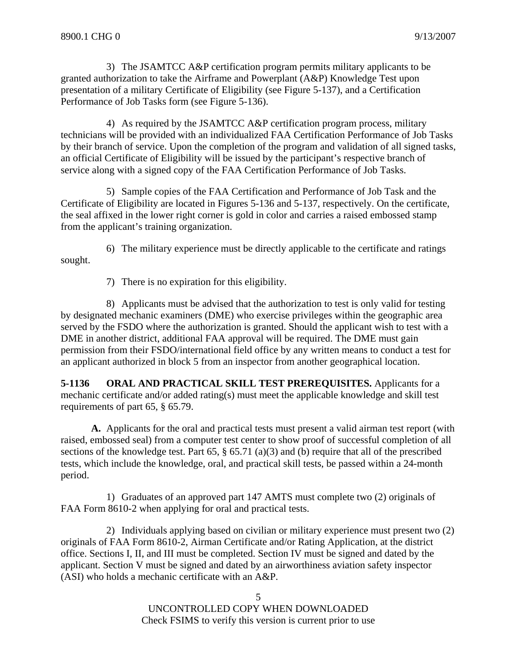3) The JSAMTCC A&P certification program permits military applicants to be granted authorization to take the Airframe and Powerplant (A&P) Knowledge Test upon presentation of a military Certificate of Eligibility (see Figure 5-137), and a Certification Performance of Job Tasks form (see Figure 5-136).

4) As required by the JSAMTCC A&P certification program process, military technicians will be provided with an individualized FAA Certification Performance of Job Tasks by their branch of service. Upon the completion of the program and validation of all signed tasks, an official Certificate of Eligibility will be issued by the participant's respective branch of service along with a signed copy of the FAA Certification Performance of Job Tasks.

5) Sample copies of the FAA Certification and Performance of Job Task and the Certificate of Eligibility are located in Figures 5-136 and 5-137, respectively. On the certificate, the seal affixed in the lower right corner is gold in color and carries a raised embossed stamp from the applicant's training organization.

6) The military experience must be directly applicable to the certificate and ratings sought.

7) There is no expiration for this eligibility.

8) Applicants must be advised that the authorization to test is only valid for testing by designated mechanic examiners (DME) who exercise privileges within the geographic area served by the FSDO where the authorization is granted. Should the applicant wish to test with a DME in another district, additional FAA approval will be required. The DME must gain permission from their FSDO/international field office by any written means to conduct a test for an applicant authorized in block 5 from an inspector from another geographical location.

**5-1136 ORAL AND PRACTICAL SKILL TEST PREREQUISITES.** Applicants for a mechanic certificate and/or added rating(s) must meet the applicable knowledge and skill test requirements of part 65, § 65.79.

**A.** Applicants for the oral and practical tests must present a valid airman test report (with raised, embossed seal) from a computer test center to show proof of successful completion of all sections of the knowledge test. Part 65, § 65.71 (a)(3) and (b) require that all of the prescribed tests, which include the knowledge, oral, and practical skill tests, be passed within a 24-month period.

1) Graduates of an approved part 147 AMTS must complete two (2) originals of FAA Form 8610-2 when applying for oral and practical tests.

2) Individuals applying based on civilian or military experience must present two (2) originals of FAA Form 8610-2, Airman Certificate and/or Rating Application, at the district office. Sections I, II, and III must be completed. Section IV must be signed and dated by the applicant. Section V must be signed and dated by an airworthiness aviation safety inspector (ASI) who holds a mechanic certificate with an A&P.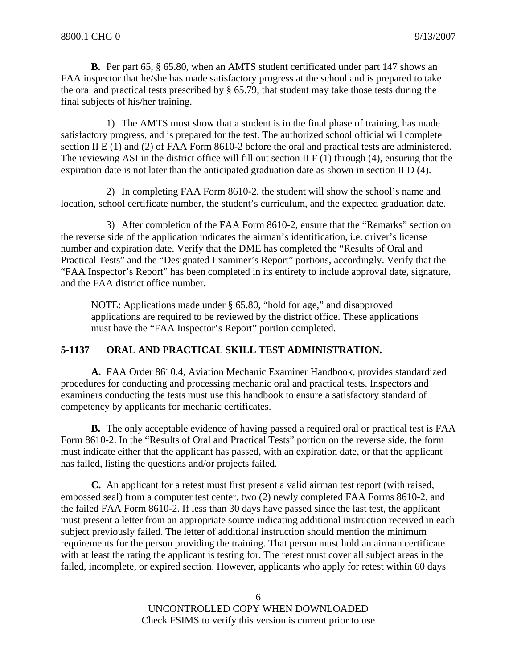**B.** Per part 65, § 65.80, when an AMTS student certificated under part 147 shows an FAA inspector that he/she has made satisfactory progress at the school and is prepared to take the oral and practical tests prescribed by § 65.79, that student may take those tests during the final subjects of his/her training.

1) The AMTS must show that a student is in the final phase of training, has made satisfactory progress, and is prepared for the test. The authorized school official will complete section II E (1) and (2) of FAA Form 8610-2 before the oral and practical tests are administered. The reviewing ASI in the district office will fill out section II  $F(1)$  through (4), ensuring that the expiration date is not later than the anticipated graduation date as shown in section II D (4).

2) In completing FAA Form 8610-2, the student will show the school's name and location, school certificate number, the student's curriculum, and the expected graduation date.

3) After completion of the FAA Form 8610-2, ensure that the "Remarks" section on the reverse side of the application indicates the airman's identification, i.e. driver's license number and expiration date. Verify that the DME has completed the "Results of Oral and Practical Tests" and the "Designated Examiner's Report" portions, accordingly. Verify that the "FAA Inspector's Report" has been completed in its entirety to include approval date, signature, and the FAA district office number.

NOTE: Applications made under § 65.80, "hold for age," and disapproved applications are required to be reviewed by the district office. These applications must have the "FAA Inspector's Report" portion completed.

#### **5-1137 ORAL AND PRACTICAL SKILL TEST ADMINISTRATION.**

**A.** FAA Order 8610.4, Aviation Mechanic Examiner Handbook, provides standardized procedures for conducting and processing mechanic oral and practical tests. Inspectors and examiners conducting the tests must use this handbook to ensure a satisfactory standard of competency by applicants for mechanic certificates.

**B.** The only acceptable evidence of having passed a required oral or practical test is FAA Form 8610-2. In the "Results of Oral and Practical Tests" portion on the reverse side, the form must indicate either that the applicant has passed, with an expiration date, or that the applicant has failed, listing the questions and/or projects failed.

**C.** An applicant for a retest must first present a valid airman test report (with raised, embossed seal) from a computer test center, two (2) newly completed FAA Forms 8610-2, and the failed FAA Form 8610-2. If less than 30 days have passed since the last test, the applicant must present a letter from an appropriate source indicating additional instruction received in each subject previously failed. The letter of additional instruction should mention the minimum requirements for the person providing the training. That person must hold an airman certificate with at least the rating the applicant is testing for. The retest must cover all subject areas in the failed, incomplete, or expired section. However, applicants who apply for retest within 60 days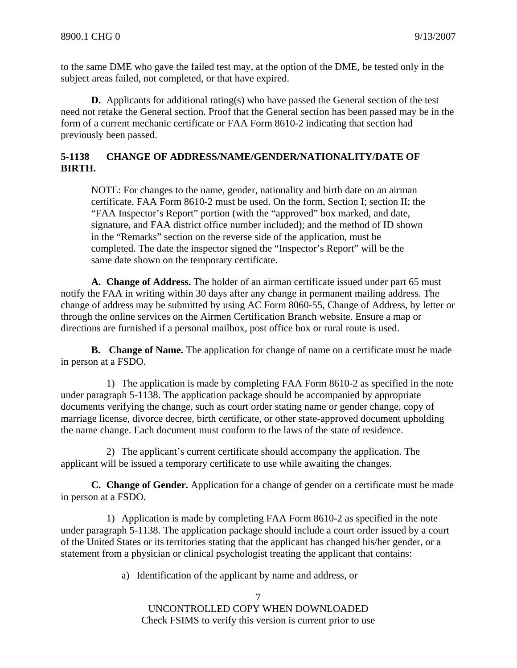to the same DME who gave the failed test may, at the option of the DME, be tested only in the subject areas failed, not completed, or that have expired.

**D.** Applicants for additional rating(s) who have passed the General section of the test need not retake the General section. Proof that the General section has been passed may be in the form of a current mechanic certificate or FAA Form 8610-2 indicating that section had previously been passed.

## **5-1138 CHANGE OF ADDRESS/NAME/GENDER/NATIONALITY/DATE OF BIRTH.**

NOTE: For changes to the name, gender, nationality and birth date on an airman certificate, FAA Form 8610-2 must be used. On the form, Section I; section II; the "FAA Inspector's Report" portion (with the "approved" box marked, and date, signature, and FAA district office number included); and the method of ID shown in the "Remarks" section on the reverse side of the application, must be completed. The date the inspector signed the "Inspector's Report" will be the same date shown on the temporary certificate.

**A. Change of Address.** The holder of an airman certificate issued under part 65 must notify the FAA in writing within 30 days after any change in permanent mailing address. The change of address may be submitted by using AC Form 8060-55, Change of Address, by letter or through the online services on the Airmen Certification Branch website. Ensure a map or directions are furnished if a personal mailbox, post office box or rural route is used.

**B. Change of Name.** The application for change of name on a certificate must be made in person at a FSDO.

1) The application is made by completing FAA Form 8610-2 as specified in the note under paragraph 5-1138. The application package should be accompanied by appropriate documents verifying the change, such as court order stating name or gender change, copy of marriage license, divorce decree, birth certificate, or other state-approved document upholding the name change. Each document must conform to the laws of the state of residence.

2) The applicant's current certificate should accompany the application. The applicant will be issued a temporary certificate to use while awaiting the changes.

**C. Change of Gender.** Application for a change of gender on a certificate must be made in person at a FSDO.

1) Application is made by completing FAA Form 8610-2 as specified in the note under paragraph 5-1138. The application package should include a court order issued by a court of the United States or its territories stating that the applicant has changed his/her gender, or a statement from a physician or clinical psychologist treating the applicant that contains:

a) Identification of the applicant by name and address, or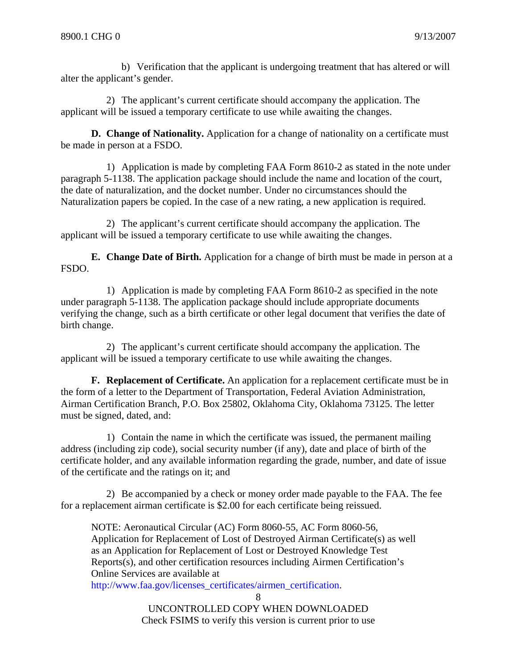b) Verification that the applicant is undergoing treatment that has altered or will alter the applicant's gender.

2) The applicant's current certificate should accompany the application. The applicant will be issued a temporary certificate to use while awaiting the changes.

**D. Change of Nationality.** Application for a change of nationality on a certificate must be made in person at a FSDO.

1) Application is made by completing FAA Form 8610-2 as stated in the note under paragraph 5-1138. The application package should include the name and location of the court, the date of naturalization, and the docket number. Under no circumstances should the Naturalization papers be copied. In the case of a new rating, a new application is required.

2) The applicant's current certificate should accompany the application. The applicant will be issued a temporary certificate to use while awaiting the changes.

**E. Change Date of Birth.** Application for a change of birth must be made in person at a FSDO.

1) Application is made by completing FAA Form 8610-2 as specified in the note under paragraph 5-1138. The application package should include appropriate documents verifying the change, such as a birth certificate or other legal document that verifies the date of birth change.

2) The applicant's current certificate should accompany the application. The applicant will be issued a temporary certificate to use while awaiting the changes.

**F. Replacement of Certificate.** An application for a replacement certificate must be in the form of a letter to the Department of Transportation, Federal Aviation Administration, Airman Certification Branch, P.O. Box 25802, Oklahoma City, Oklahoma 73125. The letter must be signed, dated, and:

1) Contain the name in which the certificate was issued, the permanent mailing address (including zip code), social security number (if any), date and place of birth of the certificate holder, and any available information regarding the grade, number, and date of issue of the certificate and the ratings on it; and

2) Be accompanied by a check or money order made payable to the FAA. The fee for a replacement airman certificate is \$2.00 for each certificate being reissued.

NOTE: Aeronautical Circular (AC) Form 8060-55, AC Form 8060-56, Application for Replacement of Lost of Destroyed Airman Certificate(s) as well as an Application for Replacement of Lost or Destroyed Knowledge Test Reports(s), and other certification resources including Airmen Certification's Online Services are available at

http://www.faa.gov/licenses\_certificates/airmen\_certification.

<sup>8</sup>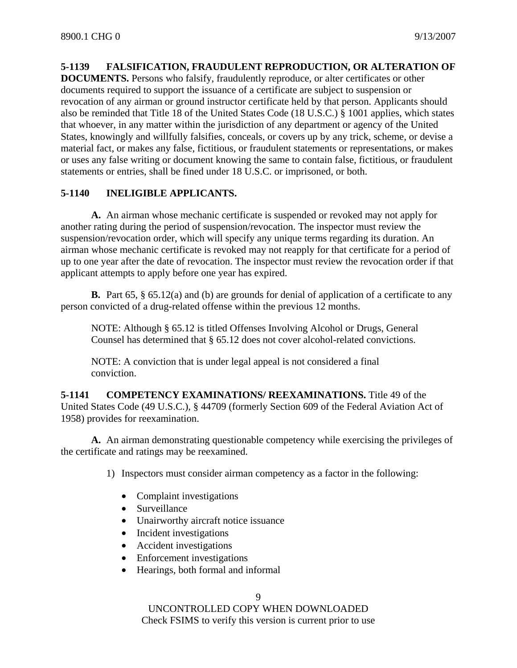#### **5-1139 FALSIFICATION, FRAUDULENT REPRODUCTION, OR ALTERATION OF**

**DOCUMENTS.** Persons who falsify, fraudulently reproduce, or alter certificates or other documents required to support the issuance of a certificate are subject to suspension or revocation of any airman or ground instructor certificate held by that person. Applicants should also be reminded that Title 18 of the United States Code (18 U.S.C.) § 1001 applies, which states that whoever, in any matter within the jurisdiction of any department or agency of the United States, knowingly and willfully falsifies, conceals, or covers up by any trick, scheme, or devise a material fact, or makes any false, fictitious, or fraudulent statements or representations, or makes or uses any false writing or document knowing the same to contain false, fictitious, or fraudulent statements or entries, shall be fined under 18 U.S.C. or imprisoned, or both.

## **5-1140 INELIGIBLE APPLICANTS.**

**A.** An airman whose mechanic certificate is suspended or revoked may not apply for another rating during the period of suspension/revocation. The inspector must review the suspension/revocation order, which will specify any unique terms regarding its duration. An airman whose mechanic certificate is revoked may not reapply for that certificate for a period of up to one year after the date of revocation. The inspector must review the revocation order if that applicant attempts to apply before one year has expired.

**B.** Part 65, § 65.12(a) and (b) are grounds for denial of application of a certificate to any person convicted of a drug-related offense within the previous 12 months.

NOTE: Although § 65.12 is titled Offenses Involving Alcohol or Drugs, General Counsel has determined that § 65.12 does not cover alcohol-related convictions.

NOTE: A conviction that is under legal appeal is not considered a final conviction.

**5-1141 COMPETENCY EXAMINATIONS/ REEXAMINATIONS.** Title 49 of the United States Code (49 U.S.C.), § 44709 (formerly Section 609 of the Federal Aviation Act of 1958) provides for reexamination.

**A.** An airman demonstrating questionable competency while exercising the privileges of the certificate and ratings may be reexamined.

1) Inspectors must consider airman competency as a factor in the following:

- Complaint investigations
- Surveillance
- Unairworthy aircraft notice issuance
- Incident investigations
- Accident investigations
- Enforcement investigations
- Hearings, both formal and informal

9

UNCONTROLLED COPY WHEN DOWNLOADED

Check FSIMS to verify this version is current prior to use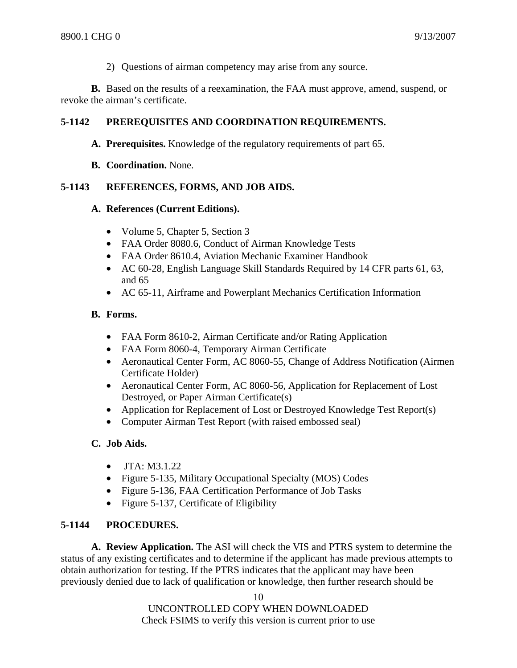2) Questions of airman competency may arise from any source.

**B.** Based on the results of a reexamination, the FAA must approve, amend, suspend, or revoke the airman's certificate.

## **5-1142 PREREQUISITES AND COORDINATION REQUIREMENTS.**

**A. Prerequisites.** Knowledge of the regulatory requirements of part 65.

**B. Coordination.** None.

## **5-1143 REFERENCES, FORMS, AND JOB AIDS.**

#### **A. References (Current Editions).**

- Volume 5, Chapter 5, Section 3
- FAA Order 8080.6, Conduct of Airman Knowledge Tests
- FAA Order 8610.4, Aviation Mechanic Examiner Handbook
- AC 60-28, English Language Skill Standards Required by 14 CFR parts 61, 63, and 65
- AC 65-11, Airframe and Powerplant Mechanics Certification Information

#### **B. Forms.**

- FAA Form 8610-2, Airman Certificate and/or Rating Application
- FAA Form 8060-4, Temporary Airman Certificate
- Aeronautical Center Form, AC 8060-55, Change of Address Notification (Airmen) Certificate Holder)
- Aeronautical Center Form, AC 8060-56, Application for Replacement of Lost Destroyed, or Paper Airman Certificate(s)
- Application for Replacement of Lost or Destroyed Knowledge Test Report(s)
- Computer Airman Test Report (with raised embossed seal)

#### **C. Job Aids.**

- JTA: M3.1.22
- Figure 5-135, Military Occupational Specialty (MOS) Codes
- Figure 5-136, FAA Certification Performance of Job Tasks
- Figure 5-137, Certificate of Eligibility

#### **5-1144 PROCEDURES.**

**A. Review Application.** The ASI will check the VIS and PTRS system to determine the status of any existing certificates and to determine if the applicant has made previous attempts to obtain authorization for testing. If the PTRS indicates that the applicant may have been previously denied due to lack of qualification or knowledge, then further research should be

10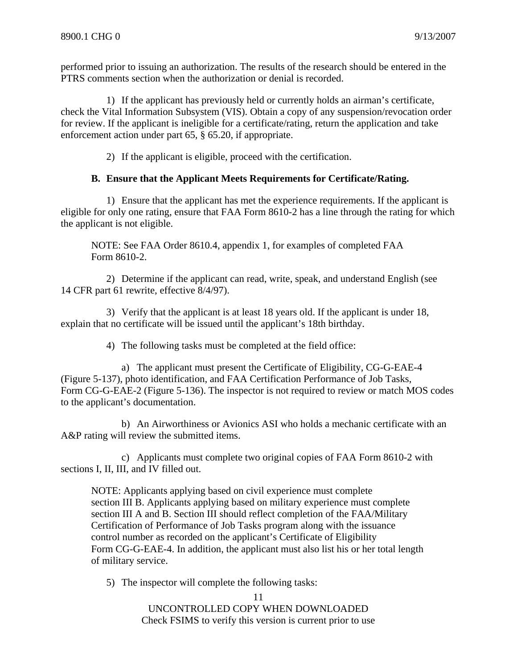performed prior to issuing an authorization. The results of the research should be entered in the PTRS comments section when the authorization or denial is recorded.

1) If the applicant has previously held or currently holds an airman's certificate, check the Vital Information Subsystem (VIS). Obtain a copy of any suspension/revocation order for review. If the applicant is ineligible for a certificate/rating, return the application and take enforcement action under part 65, § 65.20, if appropriate.

2) If the applicant is eligible, proceed with the certification.

## **B. Ensure that the Applicant Meets Requirements for Certificate/Rating.**

1) Ensure that the applicant has met the experience requirements. If the applicant is eligible for only one rating, ensure that FAA Form 8610-2 has a line through the rating for which the applicant is not eligible.

NOTE: See FAA Order 8610.4, appendix 1, for examples of completed FAA Form 8610-2.

2) Determine if the applicant can read, write, speak, and understand English (see 14 CFR part 61 rewrite, effective 8/4/97).

3) Verify that the applicant is at least 18 years old. If the applicant is under 18, explain that no certificate will be issued until the applicant's 18th birthday.

4) The following tasks must be completed at the field office:

a) The applicant must present the Certificate of Eligibility, CG-G-EAE-4 (Figure 5-137), photo identification, and FAA Certification Performance of Job Tasks, Form CG-G-EAE-2 (Figure 5-136). The inspector is not required to review or match MOS codes to the applicant's documentation.

b) An Airworthiness or Avionics ASI who holds a mechanic certificate with an A&P rating will review the submitted items.

c) Applicants must complete two original copies of FAA Form 8610-2 with sections I, II, III, and IV filled out.

NOTE: Applicants applying based on civil experience must complete section III B. Applicants applying based on military experience must complete section III A and B. Section III should reflect completion of the FAA/Military Certification of Performance of Job Tasks program along with the issuance control number as recorded on the applicant's Certificate of Eligibility Form CG-G-EAE-4. In addition, the applicant must also list his or her total length of military service.

5) The inspector will complete the following tasks: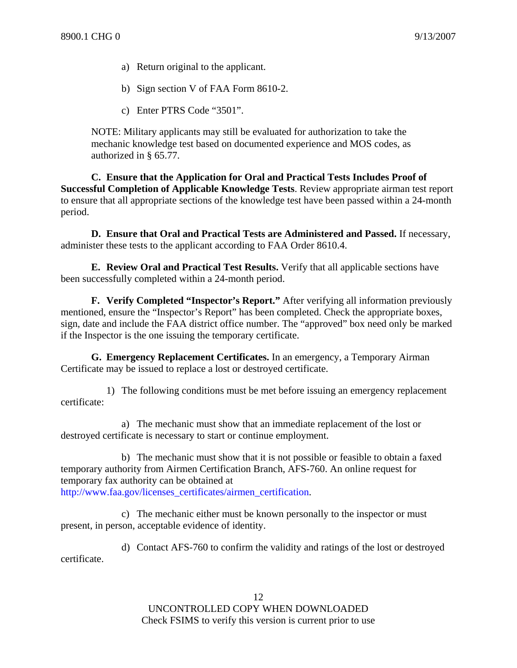- a) Return original to the applicant.
- b) Sign section V of FAA Form 8610-2.
- c) Enter PTRS Code "3501".

NOTE: Military applicants may still be evaluated for authorization to take the mechanic knowledge test based on documented experience and MOS codes, as authorized in § 65.77.

**C. Ensure that the Application for Oral and Practical Tests Includes Proof of Successful Completion of Applicable Knowledge Tests**. Review appropriate airman test report to ensure that all appropriate sections of the knowledge test have been passed within a 24-month period.

**D. Ensure that Oral and Practical Tests are Administered and Passed.** If necessary, administer these tests to the applicant according to FAA Order 8610.4.

**E. Review Oral and Practical Test Results.** Verify that all applicable sections have been successfully completed within a 24-month period.

**F. Verify Completed "Inspector's Report."** After verifying all information previously mentioned, ensure the "Inspector's Report" has been completed. Check the appropriate boxes, sign, date and include the FAA district office number. The "approved" box need only be marked if the Inspector is the one issuing the temporary certificate.

**G. Emergency Replacement Certificates.** In an emergency, a Temporary Airman Certificate may be issued to replace a lost or destroyed certificate.

1) The following conditions must be met before issuing an emergency replacement certificate:

a) The mechanic must show that an immediate replacement of the lost or destroyed certificate is necessary to start or continue employment.

b) The mechanic must show that it is not possible or feasible to obtain a faxed temporary authority from Airmen Certification Branch, AFS-760. An online request for temporary fax authority can be obtained at http://www.faa.gov/licenses\_certificates/airmen\_certification.

c) The mechanic either must be known personally to the inspector or must present, in person, acceptable evidence of identity.

d) Contact AFS-760 to confirm the validity and ratings of the lost or destroyed certificate.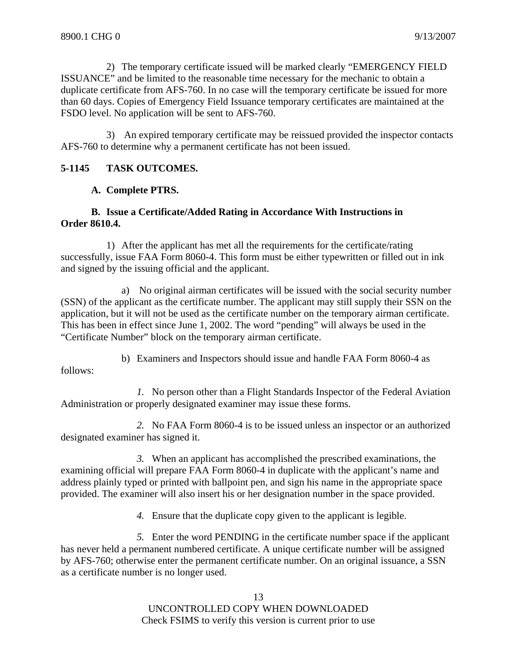2) The temporary certificate issued will be marked clearly "EMERGENCY FIELD ISSUANCE" and be limited to the reasonable time necessary for the mechanic to obtain a duplicate certificate from AFS-760. In no case will the temporary certificate be issued for more than 60 days. Copies of Emergency Field Issuance temporary certificates are maintained at the FSDO level. No application will be sent to AFS-760.

3) An expired temporary certificate may be reissued provided the inspector contacts AFS-760 to determine why a permanent certificate has not been issued.

#### **5-1145 TASK OUTCOMES.**

#### **A. Complete PTRS.**

### **B. Issue a Certificate/Added Rating in Accordance With Instructions in Order 8610.4.**

1) After the applicant has met all the requirements for the certificate/rating successfully, issue FAA Form 8060-4. This form must be either typewritten or filled out in ink and signed by the issuing official and the applicant.

a) No original airman certificates will be issued with the social security number (SSN) of the applicant as the certificate number. The applicant may still supply their SSN on the application, but it will not be used as the certificate number on the temporary airman certificate. This has been in effect since June 1, 2002. The word "pending" will always be used in the "Certificate Number" block on the temporary airman certificate.

b) Examiners and Inspectors should issue and handle FAA Form 8060-4 as follows:

*1.* No person other than a Flight Standards Inspector of the Federal Aviation Administration or properly designated examiner may issue these forms.

*2.* No FAA Form 8060-4 is to be issued unless an inspector or an authorized designated examiner has signed it.

*3.* When an applicant has accomplished the prescribed examinations, the examining official will prepare FAA Form 8060-4 in duplicate with the applicant's name and address plainly typed or printed with ballpoint pen, and sign his name in the appropriate space provided. The examiner will also insert his or her designation number in the space provided.

*4.* Ensure that the duplicate copy given to the applicant is legible.

*5.* Enter the word PENDING in the certificate number space if the applicant has never held a permanent numbered certificate. A unique certificate number will be assigned by AFS-760; otherwise enter the permanent certificate number. On an original issuance, a SSN as a certificate number is no longer used.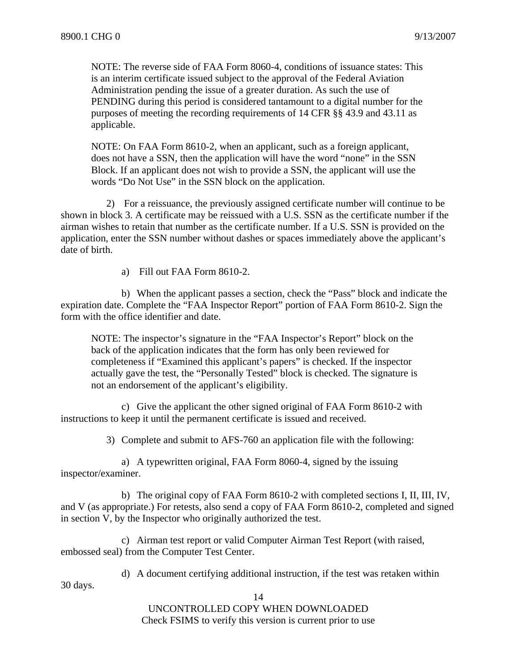NOTE: The reverse side of FAA Form 8060-4, conditions of issuance states: This is an interim certificate issued subject to the approval of the Federal Aviation Administration pending the issue of a greater duration. As such the use of PENDING during this period is considered tantamount to a digital number for the purposes of meeting the recording requirements of 14 CFR §§ 43.9 and 43.11 as applicable.

NOTE: On FAA Form 8610-2, when an applicant, such as a foreign applicant, does not have a SSN, then the application will have the word "none" in the SSN Block. If an applicant does not wish to provide a SSN, the applicant will use the words "Do Not Use" in the SSN block on the application.

2) For a reissuance, the previously assigned certificate number will continue to be shown in block 3. A certificate may be reissued with a U.S. SSN as the certificate number if the airman wishes to retain that number as the certificate number. If a U.S. SSN is provided on the application, enter the SSN number without dashes or spaces immediately above the applicant's date of birth.

a) Fill out FAA Form 8610-2.

b) When the applicant passes a section, check the "Pass" block and indicate the expiration date. Complete the "FAA Inspector Report" portion of FAA Form 8610-2. Sign the form with the office identifier and date.

NOTE: The inspector's signature in the "FAA Inspector's Report" block on the back of the application indicates that the form has only been reviewed for completeness if "Examined this applicant's papers" is checked. If the inspector actually gave the test, the "Personally Tested" block is checked. The signature is not an endorsement of the applicant's eligibility.

c) Give the applicant the other signed original of FAA Form 8610-2 with instructions to keep it until the permanent certificate is issued and received.

3) Complete and submit to AFS-760 an application file with the following:

a) A typewritten original, FAA Form 8060-4, signed by the issuing inspector/examiner.

b) The original copy of FAA Form 8610-2 with completed sections I, II, III, IV, and V (as appropriate.) For retests, also send a copy of FAA Form 8610-2, completed and signed in section V, by the Inspector who originally authorized the test.

c) Airman test report or valid Computer Airman Test Report (with raised, embossed seal) from the Computer Test Center.

d) A document certifying additional instruction, if the test was retaken within

30 days.

14 UNCONTROLLED COPY WHEN DOWNLOADED

Check FSIMS to verify this version is current prior to use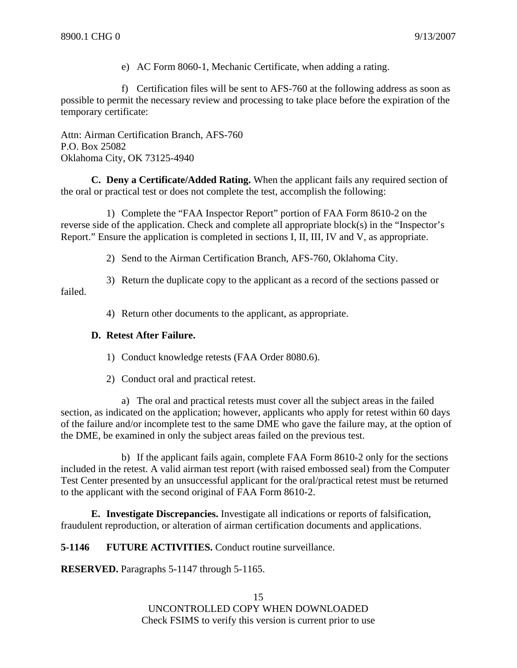e) AC Form 8060-1, Mechanic Certificate, when adding a rating.

f) Certification files will be sent to AFS-760 at the following address as soon as possible to permit the necessary review and processing to take place before the expiration of the temporary certificate:

Attn: Airman Certification Branch, AFS-760 P.O. Box 25082 Oklahoma City, OK 73125-4940

**C. Deny a Certificate/Added Rating.** When the applicant fails any required section of the oral or practical test or does not complete the test, accomplish the following:

1) Complete the "FAA Inspector Report" portion of FAA Form 8610-2 on the reverse side of the application. Check and complete all appropriate block(s) in the "Inspector's Report." Ensure the application is completed in sections I, II, III, IV and V, as appropriate.

2) Send to the Airman Certification Branch, AFS-760, Oklahoma City.

3) Return the duplicate copy to the applicant as a record of the sections passed or failed.

4) Return other documents to the applicant, as appropriate.

#### **D. Retest After Failure.**

1) Conduct knowledge retests (FAA Order 8080.6).

2) Conduct oral and practical retest.

a) The oral and practical retests must cover all the subject areas in the failed section, as indicated on the application; however, applicants who apply for retest within 60 days of the failure and/or incomplete test to the same DME who gave the failure may, at the option of the DME, be examined in only the subject areas failed on the previous test.

b) If the applicant fails again, complete FAA Form 8610-2 only for the sections included in the retest. A valid airman test report (with raised embossed seal) from the Computer Test Center presented by an unsuccessful applicant for the oral/practical retest must be returned to the applicant with the second original of FAA Form 8610-2.

**E. Investigate Discrepancies.** Investigate all indications or reports of falsification, fraudulent reproduction, or alteration of airman certification documents and applications.

**5-1146 FUTURE ACTIVITIES.** Conduct routine surveillance.

**RESERVED.** Paragraphs 5-1147 through 5-1165.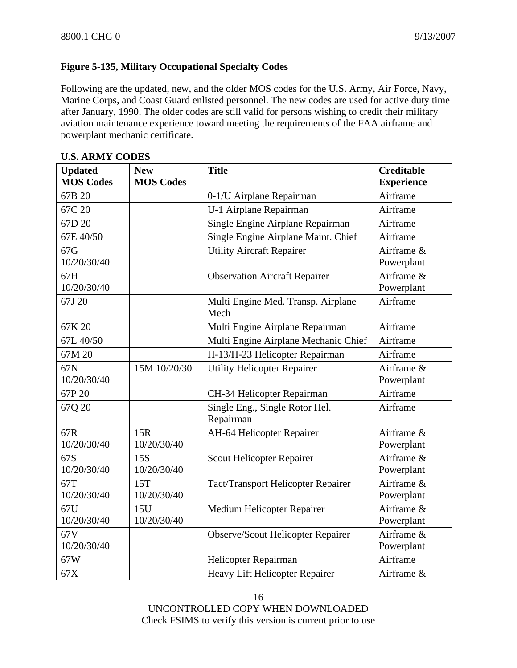# **Figure 5-135, Military Occupational Specialty Codes**

Following are the updated, new, and the older MOS codes for the U.S. Army, Air Force, Navy, Marine Corps, and Coast Guard enlisted personnel. The new codes are used for active duty time after January, 1990. The older codes are still valid for persons wishing to credit their military aviation maintenance experience toward meeting the requirements of the FAA airframe and powerplant mechanic certificate.

| <b>Updated</b>     | <b>New</b>       | <b>Title</b>                                | <b>Creditable</b>        |
|--------------------|------------------|---------------------------------------------|--------------------------|
| <b>MOS Codes</b>   | <b>MOS Codes</b> |                                             | <b>Experience</b>        |
| 67B 20             |                  | 0-1/U Airplane Repairman                    | Airframe                 |
| 67C 20             |                  | U-1 Airplane Repairman                      | Airframe                 |
| 67D 20             |                  | Single Engine Airplane Repairman            | Airframe                 |
| 67E 40/50          |                  | Single Engine Airplane Maint. Chief         | Airframe                 |
| 67G<br>10/20/30/40 |                  | <b>Utility Aircraft Repairer</b>            | Airframe &<br>Powerplant |
| 67H<br>10/20/30/40 |                  | <b>Observation Aircraft Repairer</b>        | Airframe &<br>Powerplant |
| 67J 20             |                  | Multi Engine Med. Transp. Airplane<br>Mech  | Airframe                 |
| 67K 20             |                  | Multi Engine Airplane Repairman             | Airframe                 |
| 67L 40/50          |                  | Multi Engine Airplane Mechanic Chief        | Airframe                 |
| 67M 20             |                  | H-13/H-23 Helicopter Repairman              | Airframe                 |
| 67N                | 15M 10/20/30     | <b>Utility Helicopter Repairer</b>          | Airframe &               |
| 10/20/30/40        |                  |                                             | Powerplant               |
| 67P 20             |                  | CH-34 Helicopter Repairman                  | Airframe                 |
| 67Q 20             |                  | Single Eng., Single Rotor Hel.<br>Repairman | Airframe                 |
| 67R                | 15R              | AH-64 Helicopter Repairer                   | Airframe &               |
| 10/20/30/40        | 10/20/30/40      |                                             | Powerplant               |
| 67S                | 15S              | Scout Helicopter Repairer                   | Airframe &               |
| 10/20/30/40        | 10/20/30/40      |                                             | Powerplant               |
| 67T                | 15T              | Tact/Transport Helicopter Repairer          | Airframe &               |
| 10/20/30/40        | 10/20/30/40      |                                             | Powerplant               |
| 67U                | 15U              | Medium Helicopter Repairer                  | Airframe &               |
| 10/20/30/40        | 10/20/30/40      |                                             | Powerplant               |
| 67V                |                  | <b>Observe/Scout Helicopter Repairer</b>    | Airframe &               |
| 10/20/30/40        |                  |                                             | Powerplant               |
| 67W                |                  | Helicopter Repairman                        | Airframe                 |
| 67X                |                  | Heavy Lift Helicopter Repairer              | Airframe &               |

#### **U.S. ARMY CODES**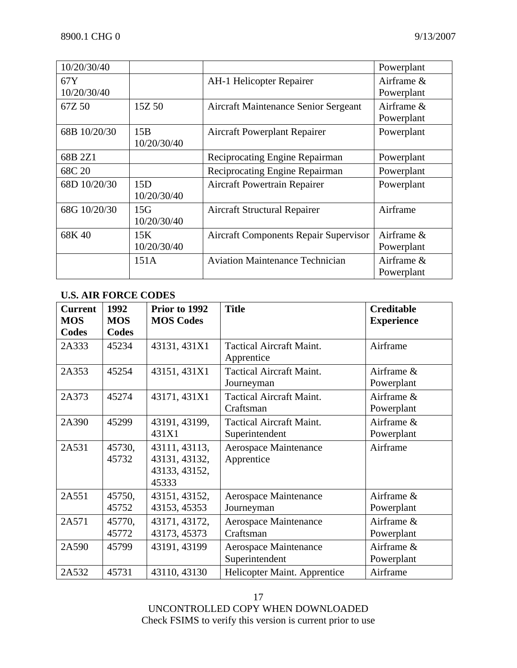| 10/20/30/40        |                    |                                              | Powerplant               |
|--------------------|--------------------|----------------------------------------------|--------------------------|
| 67Y<br>10/20/30/40 |                    | <b>AH-1 Helicopter Repairer</b>              | Airframe &<br>Powerplant |
| 67Z 50             | 15Z 50             | <b>Aircraft Maintenance Senior Sergeant</b>  | Airframe &<br>Powerplant |
| 68B 10/20/30       | 15B<br>10/20/30/40 | <b>Aircraft Powerplant Repairer</b>          | Powerplant               |
| 68B 2Z1            |                    | Reciprocating Engine Repairman               | Powerplant               |
| 68C 20             |                    | Reciprocating Engine Repairman               | Powerplant               |
| 68D 10/20/30       | 15D<br>10/20/30/40 | Aircraft Powertrain Repairer                 | Powerplant               |
| 68G 10/20/30       | 15G<br>10/20/30/40 | <b>Aircraft Structural Repairer</b>          | Airframe                 |
| 68K 40             | 15K<br>10/20/30/40 | <b>Aircraft Components Repair Supervisor</b> | Airframe &<br>Powerplant |
|                    | 151A               | <b>Aviation Maintenance Technician</b>       | Airframe &<br>Powerplant |

# **U.S. AIR FORCE CODES**

| <b>Current</b><br><b>MOS</b> | 1992<br><b>MOS</b> | Prior to 1992<br><b>MOS Codes</b>                        | <b>Title</b>                                      | <b>Creditable</b><br><b>Experience</b> |
|------------------------------|--------------------|----------------------------------------------------------|---------------------------------------------------|----------------------------------------|
| Codes                        | Codes              |                                                          |                                                   |                                        |
| 2A333                        | 45234              | 43131, 431X1                                             | <b>Tactical Aircraft Maint.</b><br>Apprentice     | Airframe                               |
| 2A353                        | 45254              | 43151, 431X1                                             | <b>Tactical Aircraft Maint.</b><br>Journeyman     | Airframe &<br>Powerplant               |
| 2A373                        | 45274              | 43171, 431X1                                             | <b>Tactical Aircraft Maint.</b><br>Craftsman      | Airframe &<br>Powerplant               |
| 2A390                        | 45299              | 43191, 43199,<br>431X1                                   | <b>Tactical Aircraft Maint.</b><br>Superintendent | Airframe &<br>Powerplant               |
| 2A531                        | 45730,<br>45732    | 43111, 43113,<br>43131, 43132,<br>43133, 43152,<br>45333 | Aerospace Maintenance<br>Apprentice               | Airframe                               |
| 2A551                        | 45750,<br>45752    | 43151, 43152,<br>43153, 45353                            | Aerospace Maintenance<br>Journeyman               | Airframe &<br>Powerplant               |
| 2A571                        | 45770,<br>45772    | 43171, 43172,<br>43173, 45373                            | Aerospace Maintenance<br>Craftsman                | Airframe &<br>Powerplant               |
| 2A590                        | 45799              | 43191, 43199                                             | Aerospace Maintenance<br>Superintendent           | Airframe &<br>Powerplant               |
| 2A532                        | 45731              | 43110, 43130                                             | Helicopter Maint. Apprentice                      | Airframe                               |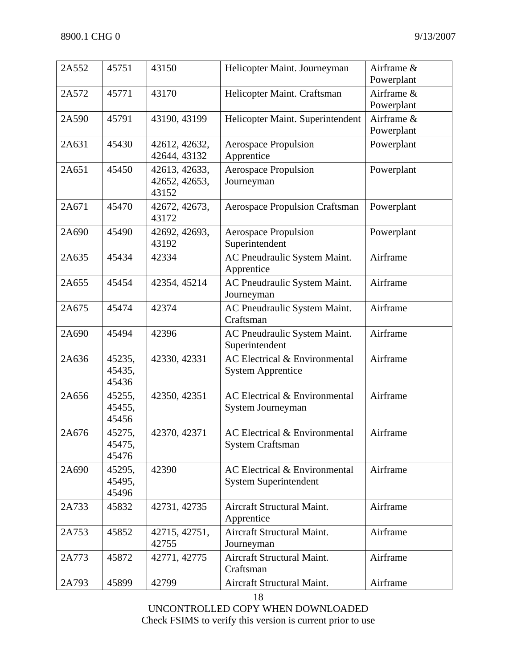| 2A552 | 45751                     | 43150                                   | Helicopter Maint. Journeyman                                  | Airframe &<br>Powerplant |
|-------|---------------------------|-----------------------------------------|---------------------------------------------------------------|--------------------------|
| 2A572 | 45771                     | 43170                                   | Helicopter Maint. Craftsman                                   | Airframe &<br>Powerplant |
| 2A590 | 45791                     | 43190, 43199                            | Helicopter Maint. Superintendent                              | Airframe &<br>Powerplant |
| 2A631 | 45430                     | 42612, 42632,<br>42644, 43132           | <b>Aerospace Propulsion</b><br>Apprentice                     | Powerplant               |
| 2A651 | 45450                     | 42613, 42633,<br>42652, 42653,<br>43152 | <b>Aerospace Propulsion</b><br>Journeyman                     | Powerplant               |
| 2A671 | 45470                     | 42672, 42673,<br>43172                  | <b>Aerospace Propulsion Craftsman</b>                         | Powerplant               |
| 2A690 | 45490                     | 42692, 42693,<br>43192                  | <b>Aerospace Propulsion</b><br>Superintendent                 | Powerplant               |
| 2A635 | 45434                     | 42334                                   | AC Pneudraulic System Maint.<br>Apprentice                    | Airframe                 |
| 2A655 | 45454                     | 42354, 45214                            | AC Pneudraulic System Maint.<br>Journeyman                    | Airframe                 |
| 2A675 | 45474                     | 42374                                   | AC Pneudraulic System Maint.<br>Craftsman                     | Airframe                 |
| 2A690 | 45494                     | 42396                                   | AC Pneudraulic System Maint.<br>Superintendent                | Airframe                 |
| 2A636 | 45235,<br>45435,<br>45436 | 42330, 42331                            | AC Electrical & Environmental<br><b>System Apprentice</b>     | Airframe                 |
| 2A656 | 45255,<br>45455,<br>45456 | 42350, 42351                            | AC Electrical & Environmental<br>System Journeyman            | Airframe                 |
| 2A676 | 45275,<br>45475,<br>45476 | 42370, 42371                            | AC Electrical & Environmental<br><b>System Craftsman</b>      | Airframe                 |
| 2A690 | 45295,<br>45495,<br>45496 | 42390                                   | AC Electrical & Environmental<br><b>System Superintendent</b> | Airframe                 |
| 2A733 | 45832                     | 42731, 42735                            | Aircraft Structural Maint.<br>Apprentice                      | Airframe                 |
| 2A753 | 45852                     | 42715, 42751,<br>42755                  | Aircraft Structural Maint.<br>Journeyman                      | Airframe                 |
| 2A773 | 45872                     | 42771, 42775                            | Aircraft Structural Maint.<br>Craftsman                       | Airframe                 |
| 2A793 | 45899                     | 42799                                   | Aircraft Structural Maint.                                    | Airframe                 |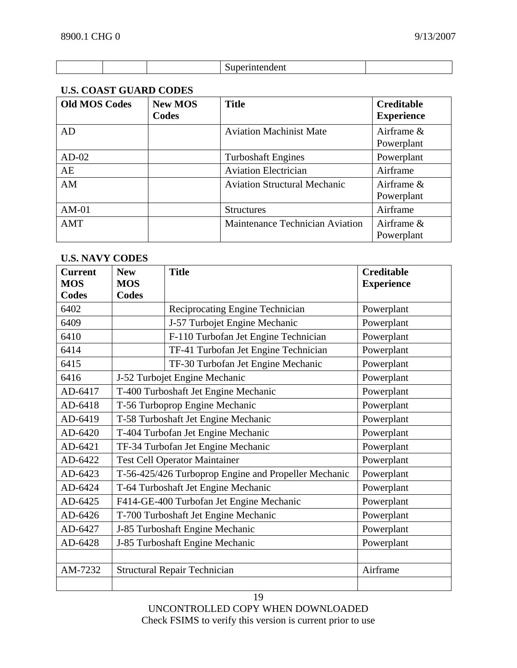| .<br>.<br>- 10<br>21 L I<br>. |  |
|-------------------------------|--|

# **U.S. COAST GUARD CODES**

| <b>Old MOS Codes</b> | <b>New MOS</b><br>Codes | <b>Title</b>                        | <b>Creditable</b><br><b>Experience</b> |
|----------------------|-------------------------|-------------------------------------|----------------------------------------|
| AD                   |                         | <b>Aviation Machinist Mate</b>      | Airframe $\&$<br>Powerplant            |
| $AD-02$              |                         | <b>Turboshaft Engines</b>           | Powerplant                             |
| AE                   |                         | <b>Aviation Electrician</b>         | Airframe                               |
| AM                   |                         | <b>Aviation Structural Mechanic</b> | Airframe $\&$<br>Powerplant            |
| $AM-01$              |                         | <b>Structures</b>                   | Airframe                               |
| AMT                  |                         | Maintenance Technician Aviation     | Airframe $\&$<br>Powerplant            |

## **U.S. NAVY CODES**

| <b>Current</b><br><b>MOS</b> | <b>New</b><br><b>MOS</b>                             | <b>Title</b>                             | <b>Creditable</b><br><b>Experience</b> |
|------------------------------|------------------------------------------------------|------------------------------------------|----------------------------------------|
| <b>Codes</b>                 | Codes                                                |                                          |                                        |
| 6402                         |                                                      | Reciprocating Engine Technician          | Powerplant                             |
| 6409                         |                                                      | J-57 Turbojet Engine Mechanic            | Powerplant                             |
| 6410                         |                                                      | F-110 Turbofan Jet Engine Technician     | Powerplant                             |
| 6414                         |                                                      | TF-41 Turbofan Jet Engine Technician     | Powerplant                             |
| 6415                         |                                                      | TF-30 Turbofan Jet Engine Mechanic       | Powerplant                             |
| 6416                         |                                                      | J-52 Turbojet Engine Mechanic            | Powerplant                             |
| AD-6417                      |                                                      | T-400 Turboshaft Jet Engine Mechanic     | Powerplant                             |
| AD-6418                      |                                                      | T-56 Turboprop Engine Mechanic           | Powerplant                             |
| AD-6419                      | T-58 Turboshaft Jet Engine Mechanic                  |                                          | Powerplant                             |
| AD-6420                      | T-404 Turbofan Jet Engine Mechanic                   |                                          | Powerplant                             |
| AD-6421                      | TF-34 Turbofan Jet Engine Mechanic                   |                                          | Powerplant                             |
| AD-6422                      | <b>Test Cell Operator Maintainer</b>                 |                                          | Powerplant                             |
| AD-6423                      | T-56-425/426 Turboprop Engine and Propeller Mechanic |                                          | Powerplant                             |
| AD-6424                      |                                                      | T-64 Turboshaft Jet Engine Mechanic      | Powerplant                             |
| AD-6425                      |                                                      | F414-GE-400 Turbofan Jet Engine Mechanic | Powerplant                             |
| AD-6426                      |                                                      | T-700 Turboshaft Jet Engine Mechanic     | Powerplant                             |
| AD-6427                      | J-85 Turboshaft Engine Mechanic                      |                                          | Powerplant                             |
| AD-6428                      |                                                      | J-85 Turboshaft Engine Mechanic          | Powerplant                             |
|                              |                                                      |                                          |                                        |
| AM-7232                      |                                                      | <b>Structural Repair Technician</b>      | Airframe                               |
|                              |                                                      |                                          |                                        |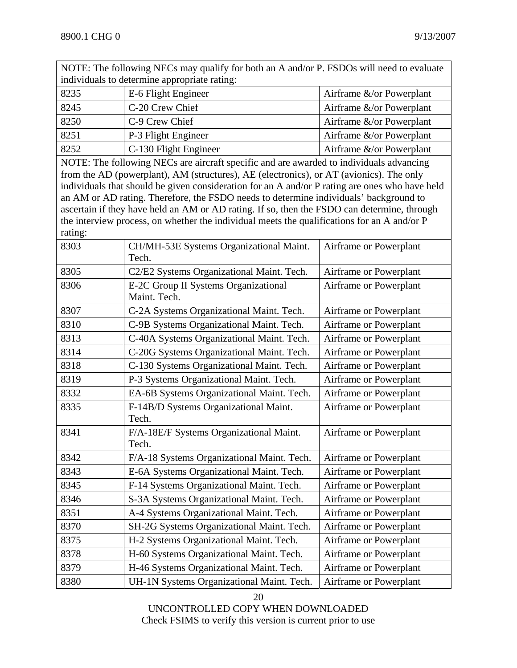NOTE: The following NECs may qualify for both an A and/or P. FSDOs will need to evaluate individuals to determine appropriate rating:

| 8235 | E-6 Flight Engineer   | Airframe $\&$ /or Powerplant  |
|------|-----------------------|-------------------------------|
| 8245 | C-20 Crew Chief       | Airframe $&\&\lor$ Powerplant |
| 8250 | C-9 Crew Chief        | Airframe $\&$ /or Powerplant  |
| 8251 | P-3 Flight Engineer   | Airframe $\&$ /or Powerplant  |
| 8252 | C-130 Flight Engineer | Airframe $\&$ /or Powerplant  |

NOTE: The following NECs are aircraft specific and are awarded to individuals advancing from the AD (powerplant), AM (structures), AE (electronics), or AT (avionics). The only individuals that should be given consideration for an A and/or P rating are ones who have held an AM or AD rating. Therefore, the FSDO needs to determine individuals' background to ascertain if they have held an AM or AD rating. If so, then the FSDO can determine, through the interview process, on whether the individual meets the qualifications for an A and/or P rating:

| 8303 | CH/MH-53E Systems Organizational Maint.<br>Tech.     | Airframe or Powerplant |
|------|------------------------------------------------------|------------------------|
| 8305 | C2/E2 Systems Organizational Maint. Tech.            | Airframe or Powerplant |
| 8306 | E-2C Group II Systems Organizational<br>Maint. Tech. | Airframe or Powerplant |
| 8307 | C-2A Systems Organizational Maint. Tech.             | Airframe or Powerplant |
| 8310 | C-9B Systems Organizational Maint. Tech.             | Airframe or Powerplant |
| 8313 | C-40A Systems Organizational Maint. Tech.            | Airframe or Powerplant |
| 8314 | C-20G Systems Organizational Maint. Tech.            | Airframe or Powerplant |
| 8318 | C-130 Systems Organizational Maint. Tech.            | Airframe or Powerplant |
| 8319 | P-3 Systems Organizational Maint. Tech.              | Airframe or Powerplant |
| 8332 | EA-6B Systems Organizational Maint. Tech.            | Airframe or Powerplant |
| 8335 | F-14B/D Systems Organizational Maint.<br>Tech.       | Airframe or Powerplant |
| 8341 | F/A-18E/F Systems Organizational Maint.<br>Tech.     | Airframe or Powerplant |
| 8342 | F/A-18 Systems Organizational Maint. Tech.           | Airframe or Powerplant |
| 8343 | E-6A Systems Organizational Maint. Tech.             | Airframe or Powerplant |
| 8345 | F-14 Systems Organizational Maint. Tech.             | Airframe or Powerplant |
| 8346 | S-3A Systems Organizational Maint. Tech.             | Airframe or Powerplant |
| 8351 | A-4 Systems Organizational Maint. Tech.              | Airframe or Powerplant |
| 8370 | SH-2G Systems Organizational Maint. Tech.            | Airframe or Powerplant |
| 8375 | H-2 Systems Organizational Maint. Tech.              | Airframe or Powerplant |
| 8378 | H-60 Systems Organizational Maint. Tech.             | Airframe or Powerplant |
| 8379 | H-46 Systems Organizational Maint. Tech.             | Airframe or Powerplant |
| 8380 | UH-1N Systems Organizational Maint. Tech.            | Airframe or Powerplant |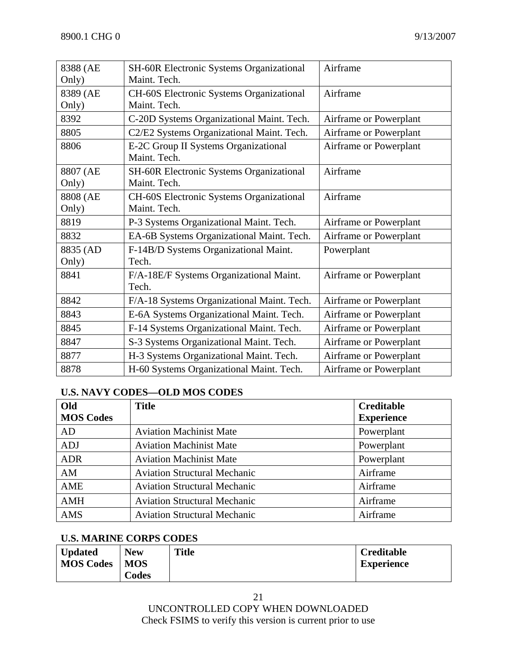| 8388 (AE | <b>SH-60R Electronic Systems Organizational</b> | Airframe               |
|----------|-------------------------------------------------|------------------------|
| Only)    | Maint. Tech.                                    |                        |
| 8389 (AE | CH-60S Electronic Systems Organizational        | Airframe               |
| Only)    | Maint. Tech.                                    |                        |
| 8392     | C-20D Systems Organizational Maint. Tech.       | Airframe or Powerplant |
| 8805     | C2/E2 Systems Organizational Maint. Tech.       | Airframe or Powerplant |
| 8806     | E-2C Group II Systems Organizational            | Airframe or Powerplant |
|          | Maint. Tech.                                    |                        |
| 8807 (AE | <b>SH-60R Electronic Systems Organizational</b> | Airframe               |
| Only)    | Maint. Tech.                                    |                        |
| 8808 (AE | <b>CH-60S</b> Electronic Systems Organizational | Airframe               |
| Only)    | Maint. Tech.                                    |                        |
| 8819     | P-3 Systems Organizational Maint. Tech.         | Airframe or Powerplant |
| 8832     | EA-6B Systems Organizational Maint. Tech.       | Airframe or Powerplant |
| 8835 (AD | F-14B/D Systems Organizational Maint.           | Powerplant             |
| Only)    | Tech.                                           |                        |
| 8841     | F/A-18E/F Systems Organizational Maint.         | Airframe or Powerplant |
|          | Tech.                                           |                        |
| 8842     | F/A-18 Systems Organizational Maint. Tech.      | Airframe or Powerplant |
| 8843     | E-6A Systems Organizational Maint. Tech.        | Airframe or Powerplant |
| 8845     | F-14 Systems Organizational Maint. Tech.        | Airframe or Powerplant |
| 8847     | S-3 Systems Organizational Maint. Tech.         | Airframe or Powerplant |
| 8877     | H-3 Systems Organizational Maint. Tech.         | Airframe or Powerplant |
| 8878     | H-60 Systems Organizational Maint. Tech.        | Airframe or Powerplant |

#### **U.S. NAVY CODES—OLD MOS CODES**

| Old              | <b>Title</b>                        | <b>Creditable</b> |
|------------------|-------------------------------------|-------------------|
| <b>MOS Codes</b> |                                     | <b>Experience</b> |
| AD               | <b>Aviation Machinist Mate</b>      | Powerplant        |
| <b>ADJ</b>       | <b>Aviation Machinist Mate</b>      | Powerplant        |
| <b>ADR</b>       | <b>Aviation Machinist Mate</b>      | Powerplant        |
| AM               | <b>Aviation Structural Mechanic</b> | Airframe          |
| AME              | <b>Aviation Structural Mechanic</b> | Airframe          |
| <b>AMH</b>       | <b>Aviation Structural Mechanic</b> | Airframe          |
| AMS              | <b>Aviation Structural Mechanic</b> | Airframe          |

#### **U.S. MARINE CORPS CODES**

| <b>Updated</b>   | <b>New</b> | <b>Title</b> | <b>Creditable</b> |
|------------------|------------|--------------|-------------------|
| <b>MOS Codes</b> | <b>MOS</b> |              | <b>Experience</b> |
|                  | Codes      |              |                   |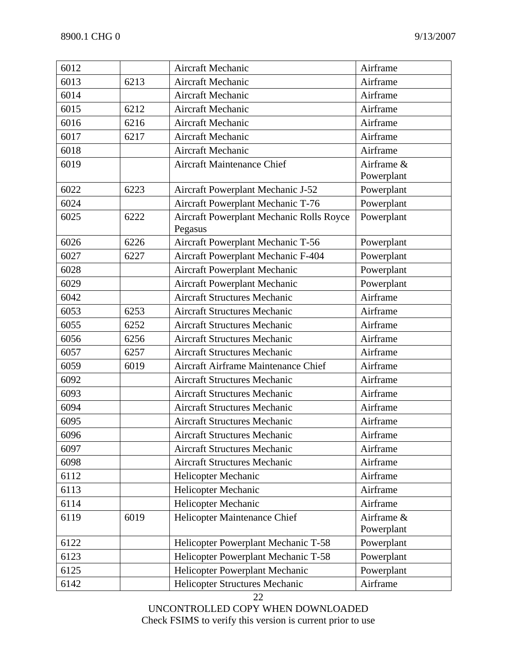| 6012 |      | Aircraft Mechanic                                   | Airframe                 |
|------|------|-----------------------------------------------------|--------------------------|
| 6013 | 6213 | <b>Aircraft Mechanic</b>                            | Airframe                 |
| 6014 |      | <b>Aircraft Mechanic</b>                            | Airframe                 |
| 6015 | 6212 | Aircraft Mechanic                                   | Airframe                 |
| 6016 | 6216 | Aircraft Mechanic                                   | Airframe                 |
| 6017 | 6217 | <b>Aircraft Mechanic</b>                            | Airframe                 |
| 6018 |      | Aircraft Mechanic                                   | Airframe                 |
| 6019 |      | <b>Aircraft Maintenance Chief</b>                   | Airframe &<br>Powerplant |
| 6022 | 6223 | Aircraft Powerplant Mechanic J-52                   | Powerplant               |
| 6024 |      | Aircraft Powerplant Mechanic T-76                   | Powerplant               |
| 6025 | 6222 | Aircraft Powerplant Mechanic Rolls Royce<br>Pegasus | Powerplant               |
| 6026 | 6226 | Aircraft Powerplant Mechanic T-56                   | Powerplant               |
| 6027 | 6227 | Aircraft Powerplant Mechanic F-404                  | Powerplant               |
| 6028 |      | Aircraft Powerplant Mechanic                        | Powerplant               |
| 6029 |      | Aircraft Powerplant Mechanic                        | Powerplant               |
| 6042 |      | <b>Aircraft Structures Mechanic</b>                 | Airframe                 |
| 6053 | 6253 | <b>Aircraft Structures Mechanic</b>                 | Airframe                 |
| 6055 | 6252 | <b>Aircraft Structures Mechanic</b>                 | Airframe                 |
| 6056 | 6256 | <b>Aircraft Structures Mechanic</b>                 | Airframe                 |
| 6057 | 6257 | <b>Aircraft Structures Mechanic</b>                 | Airframe                 |
| 6059 | 6019 | Aircraft Airframe Maintenance Chief                 | Airframe                 |
| 6092 |      | <b>Aircraft Structures Mechanic</b>                 | Airframe                 |
| 6093 |      | <b>Aircraft Structures Mechanic</b>                 | Airframe                 |
| 6094 |      | <b>Aircraft Structures Mechanic</b>                 | Airframe                 |
| 6095 |      | <b>Aircraft Structures Mechanic</b>                 | Airframe                 |
| 6096 |      | <b>Aircraft Structures Mechanic</b>                 | Airframe                 |
| 6097 |      | <b>Aircraft Structures Mechanic</b>                 | Airframe                 |
| 6098 |      | <b>Aircraft Structures Mechanic</b>                 | Airframe                 |
| 6112 |      | Helicopter Mechanic                                 | Airframe                 |
| 6113 |      | Helicopter Mechanic                                 | Airframe                 |
| 6114 |      | Helicopter Mechanic                                 | Airframe                 |
| 6119 | 6019 | Helicopter Maintenance Chief                        | Airframe &               |
|      |      |                                                     | Powerplant               |
| 6122 |      | Helicopter Powerplant Mechanic T-58                 | Powerplant               |
| 6123 |      | Helicopter Powerplant Mechanic T-58                 | Powerplant               |
| 6125 |      | Helicopter Powerplant Mechanic                      | Powerplant               |
| 6142 |      | Helicopter Structures Mechanic                      | Airframe                 |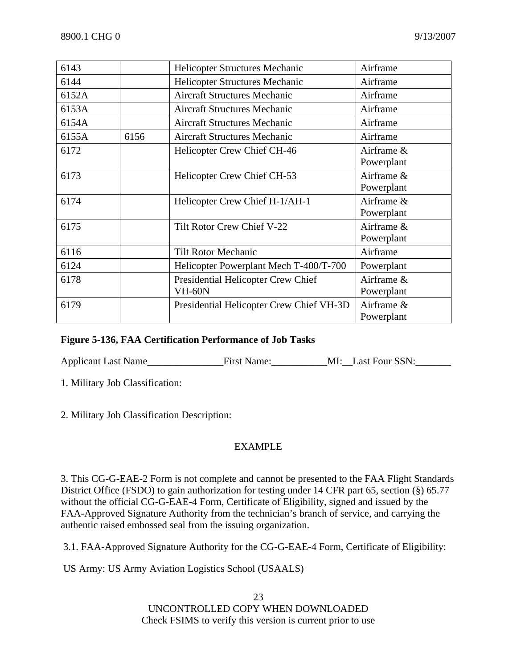| 6143  |      | Helicopter Structures Mechanic                      | Airframe                 |
|-------|------|-----------------------------------------------------|--------------------------|
| 6144  |      | Helicopter Structures Mechanic                      | Airframe                 |
| 6152A |      | <b>Aircraft Structures Mechanic</b>                 | Airframe                 |
| 6153A |      | <b>Aircraft Structures Mechanic</b>                 | Airframe                 |
| 6154A |      | <b>Aircraft Structures Mechanic</b>                 | Airframe                 |
| 6155A | 6156 | <b>Aircraft Structures Mechanic</b>                 | Airframe                 |
| 6172  |      | Helicopter Crew Chief CH-46                         | Airframe &<br>Powerplant |
| 6173  |      | Helicopter Crew Chief CH-53                         | Airframe &<br>Powerplant |
| 6174  |      | Helicopter Crew Chief H-1/AH-1                      | Airframe &<br>Powerplant |
| 6175  |      | Tilt Rotor Crew Chief V-22                          | Airframe &<br>Powerplant |
| 6116  |      | <b>Tilt Rotor Mechanic</b>                          | Airframe                 |
| 6124  |      | Helicopter Powerplant Mech T-400/T-700              | Powerplant               |
| 6178  |      | Presidential Helicopter Crew Chief<br><b>VH-60N</b> | Airframe &<br>Powerplant |
| 6179  |      | Presidential Helicopter Crew Chief VH-3D            | Airframe &<br>Powerplant |

#### **Figure 5-136, FAA Certification Performance of Job Tasks**

Applicant Last Name\_\_\_\_\_\_\_\_\_\_\_\_\_\_\_First Name:\_\_\_\_\_\_\_\_\_\_\_MI:\_\_Last Four SSN:\_\_\_\_\_\_\_

1. Military Job Classification:

2. Military Job Classification Description:

### EXAMPLE

3. This CG-G-EAE-2 Form is not complete and cannot be presented to the FAA Flight Standards District Office (FSDO) to gain authorization for testing under 14 CFR part 65, section (§) 65.77 without the official CG-G-EAE-4 Form, Certificate of Eligibility, signed and issued by the FAA-Approved Signature Authority from the technician's branch of service, and carrying the authentic raised embossed seal from the issuing organization.

3.1. FAA-Approved Signature Authority for the CG-G-EAE-4 Form, Certificate of Eligibility:

US Army: US Army Aviation Logistics School (USAALS)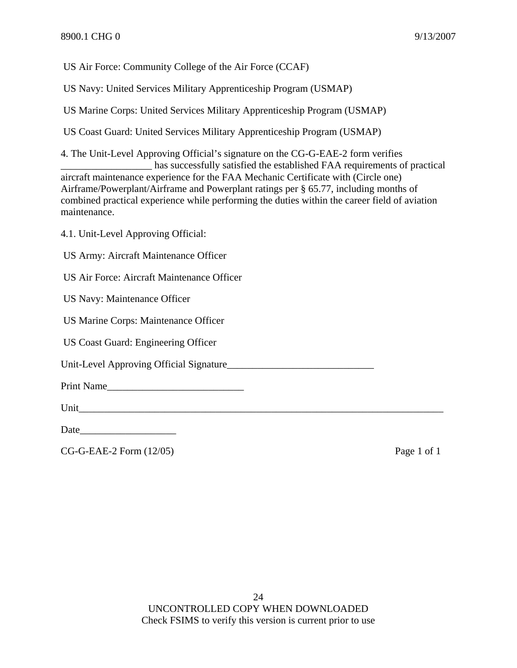US Air Force: Community College of the Air Force (CCAF)

US Navy: United Services Military Apprenticeship Program (USMAP)

US Marine Corps: United Services Military Apprenticeship Program (USMAP)

US Coast Guard: United Services Military Apprenticeship Program (USMAP)

4. The Unit-Level Approving Official's signature on the CG-G-EAE-2 form verifies \_\_\_\_\_\_\_\_\_\_\_\_\_\_\_\_\_\_ has successfully satisfied the established FAA requirements of practical aircraft maintenance experience for the FAA Mechanic Certificate with (Circle one) Airframe/Powerplant/Airframe and Powerplant ratings per § 65.77, including months of combined practical experience while performing the duties within the career field of aviation maintenance.

4.1. Unit-Level Approving Official:

US Army: Aircraft Maintenance Officer

US Air Force: Aircraft Maintenance Officer

US Navy: Maintenance Officer

US Marine Corps: Maintenance Officer

US Coast Guard: Engineering Officer

Unit-Level Approving Official Signature

Print Name\_\_\_\_\_\_\_\_\_\_\_\_\_\_\_\_\_\_\_\_\_\_\_\_\_\_\_

Unit

Date\_\_\_\_\_\_\_\_\_\_\_\_\_\_\_\_\_\_\_

CG-G-EAE-2 Form (12/05) Page 1 of 1